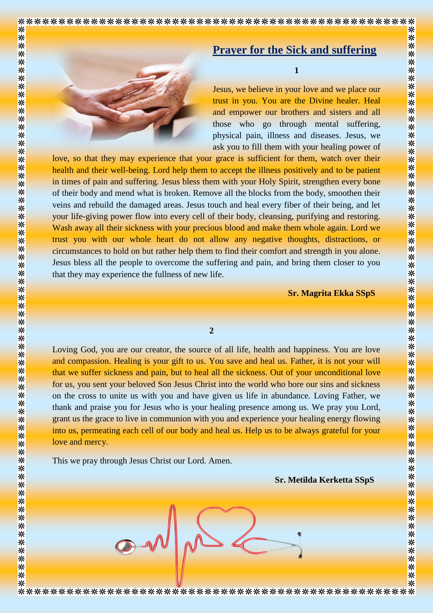

## **Prayer for the Sick and suffering**

**1**

Jesus, we believe in your love and we place our trust in you. You are the Divine healer. Heal and empower our brothers and sisters and all those who go through mental suffering, physical pain, illness and diseases. Jesus, we ask you to fill them with your healing power of

love, so that they may experience that your grace is sufficient for them, watch over their health and their well-being. Lord help them to accept the illness positively and to be patient in times of pain and suffering. Jesus bless them with your Holy Spirit, strengthen every bone of their body and mend what is broken. Remove all the blocks from the body, smoothen their veins and rebuild the damaged areas. Jesus touch and heal every fiber of their being, and let your life-giving power flow into every cell of their body, cleansing, purifying and restoring. Wash away all their sickness with your precious blood and make them whole again. Lord we trust you with our whole heart do not allow any negative thoughts, distractions, or circumstances to hold on but rather help them to find their comfort and strength in you alone. Jesus bless all the people to overcome the suffering and pain, and bring them closer to you that they may experience the fullness of new life.

**Sr. Magrita Ekka SSpS**

## **2**

Loving God, you are our creator, the source of all life, health and happiness. You are love and compassion. Healing is your gift to us. You save and heal us. Father, it is not your will that we suffer sickness and pain, but to heal all the sickness. Out of your unconditional love for us, you sent your beloved Son Jesus Christ into the world who bore our sins and sickness on the cross to unite us with you and have given us life in abundance. Loving Father, we thank and praise you for Jesus who is your healing presence among us. We pray you Lord, grant us the grace to live in communion with you and experience your healing energy flowing into us, permeating each cell of our body and heal us. Help us to be always grateful for your love and mercy.

This we pray through Jesus Christ our Lord. Amen.

☀

 **Sr. Metilda Kerketta SSpS**

☀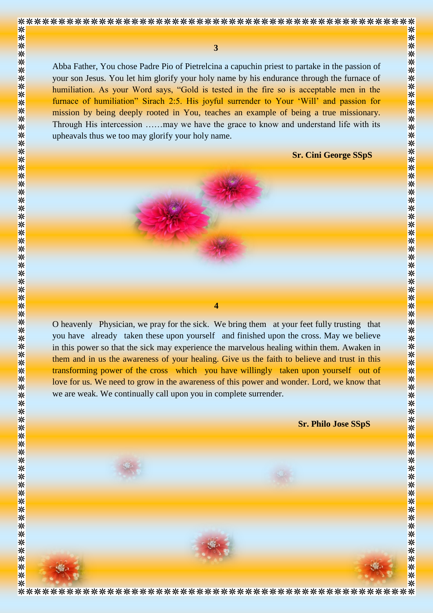☀

☀

 **3** 

Abba Father, You chose Padre Pio of Pietrelcina a capuchin priest to partake in the passion of your son Jesus. You let him glorify your holy name by his endurance through the furnace of humiliation. As your Word says, "Gold is tested in the fire so is acceptable men in the furnace of humiliation" Sirach 2:5. His joyful surrender to Your 'Will' and passion for mission by being deeply rooted in You, teaches an example of being a true missionary. Through His intercession ……may we have the grace to know and understand life with its upheavals thus we too may glorify your holy name.

 **Sr. Cini George SSpS**

☀



**4**